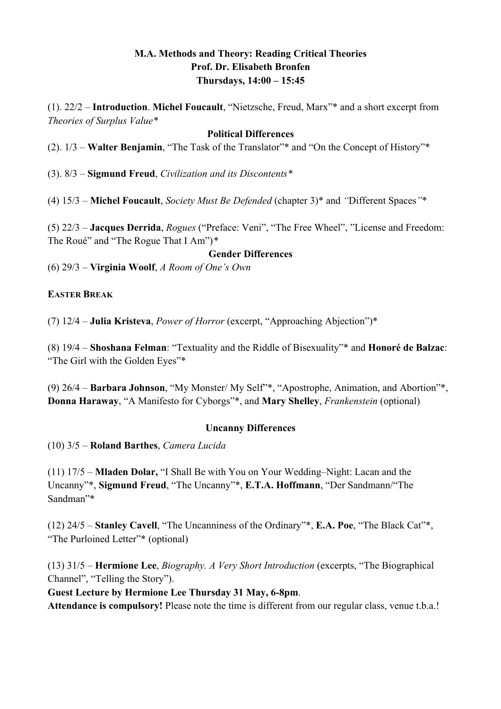## **M.A. Methods and Theory: Reading Critical Theories Prof. Dr. Elisabeth Bronfen Thursdays, 14:00 – 15:45**

(1). 22/2 – **Introduction**. **Michel Foucault**, "Nietzsche, Freud, Marx"\* and a short excerpt from *Theories of Surplus Value\**

### **Political Differences**

(2). 1/3 – **Walter Benjamin**, "The Task of the Translator"\* and "On the Concept of History"\*

(3). 8/3 – **Sigmund Freud**, *Civilization and its Discontents\**

(4) 15/3 – **Michel Foucault**, *Society Must Be Defended* (chapter 3)\* and *"*Different Spaces*"*\*

(5) 22/3 – **Jacques Derrida**, *Rogues* ("Preface: Veni", "The Free Wheel", "License and Freedom: The Roué" and "The Rogue That I Am")*\**

#### **Gender Differences**

(6) 29/3 – **Virginia Woolf**, *A Room of One's Own*

### **EASTER BREAK**

(7) 12/4 – **Julia Kristeva**, *Power of Horror* (excerpt, "Approaching Abjection")\*

(8) 19/4 – **Shoshana Felman**: "Textuality and the Riddle of Bisexuality"\* and **Honoré de Balzac**: "The Girl with the Golden Eyes"\*

(9) 26/4 – **Barbara Johnson**, "My Monster/ My Self"\*, "Apostrophe, Animation, and Abortion"\*, **Donna Haraway**, "A Manifesto for Cyborgs"\*, and **Mary Shelley**, *Frankenstein* (optional)

### **Uncanny Differences**

(10) 3/5 – **Roland Barthes**, *Camera Lucida*

(11) 17/5 – **Mladen Dolar,** "I Shall Be with You on Your Wedding–Night: Lacan and the Uncanny"\*, **Sigmund Freud**, "The Uncanny"\*, **E.T.A. Hoffmann**, "Der Sandmann/"The Sandman"\*

(12) 24/5 – **Stanley Cavell**, "The Uncanniness of the Ordinary"\*, **E.A. Poe**, "The Black Cat"\*, "The Purloined Letter"\* (optional)

(13) 31/5 – **Hermione Lee**, *Biography. A Very Short Introduction* (excerpts, "The Biographical Channel", "Telling the Story").

### **Guest Lecture by Hermione Lee Thursday 31 May, 6-8pm**.

**Attendance is compulsory!** Please note the time is different from our regular class, venue t.b.a.!